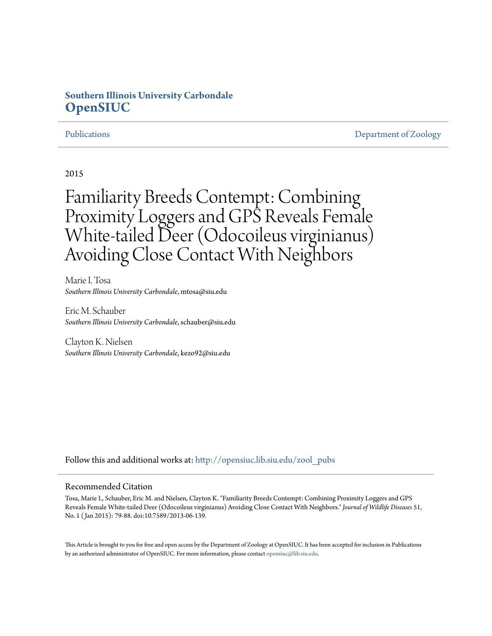# **Southern Illinois University Carbondale [OpenSIUC](http://opensiuc.lib.siu.edu?utm_source=opensiuc.lib.siu.edu%2Fzool_pubs%2F75&utm_medium=PDF&utm_campaign=PDFCoverPages)**

[Publications](http://opensiuc.lib.siu.edu/zool_pubs?utm_source=opensiuc.lib.siu.edu%2Fzool_pubs%2F75&utm_medium=PDF&utm_campaign=PDFCoverPages) **[Department of Zoology](http://opensiuc.lib.siu.edu/zool?utm_source=opensiuc.lib.siu.edu%2Fzool_pubs%2F75&utm_medium=PDF&utm_campaign=PDFCoverPages)** 

2015

# Familiarity Breeds Contempt: Combining Proximity Loggers and GPS Reveals Female White-tailed Deer (Odocoileus virginianus) Avoiding Close Contact With Neighbors

Marie I. Tosa *Southern Illinois University Carbondale*, mtosa@siu.edu

Eric M. Schauber *Southern Illinois University Carbondale*, schauber@siu.edu

Clayton K. Nielsen *Southern Illinois University Carbondale*, kezo92@siu.edu

Follow this and additional works at: [http://opensiuc.lib.siu.edu/zool\\_pubs](http://opensiuc.lib.siu.edu/zool_pubs?utm_source=opensiuc.lib.siu.edu%2Fzool_pubs%2F75&utm_medium=PDF&utm_campaign=PDFCoverPages)

#### Recommended Citation

Tosa, Marie I., Schauber, Eric M. and Nielsen, Clayton K. "Familiarity Breeds Contempt: Combining Proximity Loggers and GPS Reveals Female White-tailed Deer (Odocoileus virginianus) Avoiding Close Contact With Neighbors." *Journal of Wildlife Diseases* 51, No. 1 ( Jan 2015): 79-88. doi:10.7589/2013-06-139.

This Article is brought to you for free and open access by the Department of Zoology at OpenSIUC. It has been accepted for inclusion in Publications by an authorized administrator of OpenSIUC. For more information, please contact [opensiuc@lib.siu.edu.](mailto:opensiuc@lib.siu.edu)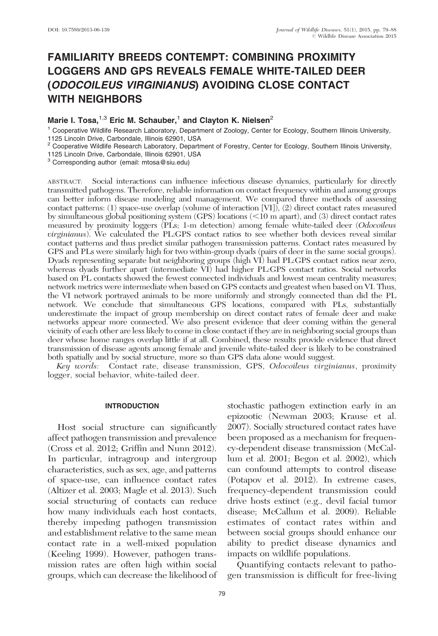## FAMILIARITY BREEDS CONTEMPT: COMBINING PROXIMITY LOGGERS AND GPS REVEALS FEMALE WHITE-TAILED DEER (ODOCOILEUS VIRGINIANUS) AVOIDING CLOSE CONTACT WITH NEIGHBORS

### Marie I. Tosa, $^{1,3}$  Eric M. Schauber,<sup>1</sup> and Clayton K. Nielsen<sup>2</sup>

<sup>1</sup> Cooperative Wildlife Research Laboratory, Department of Zoology, Center for Ecology, Southern Illinois University, 1125 Lincoln Drive, Carbondale, Illinois 62901, USA

 $2$  Cooperative Wildlife Research Laboratory, Department of Forestry, Center for Ecology, Southern Illinois University, 1125 Lincoln Drive, Carbondale, Illinois 62901, USA

<sup>3</sup> Corresponding author (email: mtosa@siu.edu)

ABSTRACT: Social interactions can influence infectious disease dynamics, particularly for directly transmitted pathogens. Therefore, reliable information on contact frequency within and among groups can better inform disease modeling and management. We compared three methods of assessing contact patterns: (1) space-use overlap (volume of interaction [VI]), (2) direct contact rates measured by simultaneous global positioning system (GPS) locations  $\langle$  <10 m apart), and (3) direct contact rates measured by proximity loggers (PLs; 1-m detection) among female white-tailed deer (Odocoileus virginianus). We calculated the PL:GPS contact ratios to see whether both devices reveal similar contact patterns and thus predict similar pathogen transmission patterns. Contact rates measured by GPS and PLs were similarly high for two within-group dyads (pairs of deer in the same social groups). Dyads representing separate but neighboring groups (high VI) had PL:GPS contact ratios near zero, whereas dyads further apart (intermediate VI) had higher PL:GPS contact ratios. Social networks based on PL contacts showed the fewest connected individuals and lowest mean centrality measures; network metrics were intermediate when based on GPS contacts and greatest when based on VI. Thus, the VI network portrayed animals to be more uniformly and strongly connected than did the PL network. We conclude that simultaneous GPS locations, compared with PLs, substantially underestimate the impact of group membership on direct contact rates of female deer and make networks appear more connected. We also present evidence that deer coming within the general vicinity of each other are less likely to come in close contact if they are in neighboring social groups than deer whose home ranges overlap little if at all. Combined, these results provide evidence that direct transmission of disease agents among female and juvenile white-tailed deer is likely to be constrained both spatially and by social structure, more so than GPS data alone would suggest.

Key words: Contact rate, disease transmission, GPS, Odocoileus virginianus, proximity logger, social behavior, white-tailed deer.

#### INTRODUCTION

Host social structure can significantly affect pathogen transmission and prevalence (Cross et al. 2012; Griffin and Nunn 2012). In particular, intragroup and intergroup characteristics, such as sex, age, and patterns of space-use, can influence contact rates (Altizer et al. 2003; Magle et al. 2013). Such social structuring of contacts can reduce how many individuals each host contacts, thereby impeding pathogen transmission and establishment relative to the same mean contact rate in a well-mixed population (Keeling 1999). However, pathogen transmission rates are often high within social groups, which can decrease the likelihood of stochastic pathogen extinction early in an epizootic (Newman 2003; Krause et al. 2007). Socially structured contact rates have been proposed as a mechanism for frequency-dependent disease transmission (McCallum et al. 2001; Begon et al. 2002), which can confound attempts to control disease (Potapov et al. 2012). In extreme cases, frequency-dependent transmission could drive hosts extinct (e.g., devil facial tumor disease; McCallum et al. 2009). Reliable estimates of contact rates within and between social groups should enhance our ability to predict disease dynamics and impacts on wildlife populations.

Quantifying contacts relevant to pathogen transmission is difficult for free-living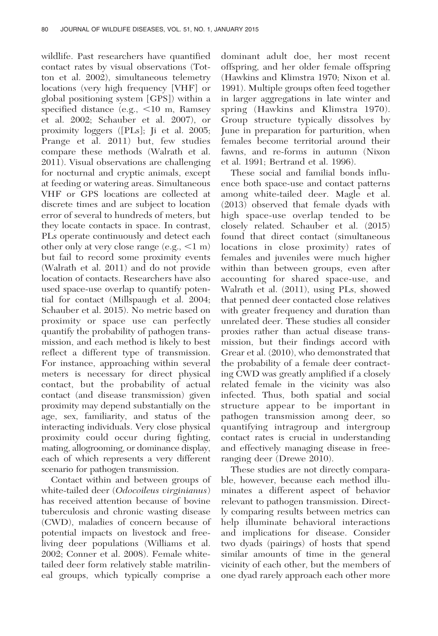wildlife. Past researchers have quantified contact rates by visual observations (Totton et al. 2002), simultaneous telemetry locations (very high frequency [VHF] or global positioning system [GPS]) within a specified distance (e.g.,  $<$ 10 m, Ramsey et al. 2002; Schauber et al. 2007), or proximity loggers ([PLs]; Ji et al. 2005; Prange et al. 2011) but, few studies compare these methods (Walrath et al. 2011). Visual observations are challenging for nocturnal and cryptic animals, except at feeding or watering areas. Simultaneous VHF or GPS locations are collected at discrete times and are subject to location error of several to hundreds of meters, but they locate contacts in space. In contrast, PLs operate continuously and detect each other only at very close range  $(e.g., <1 m)$ but fail to record some proximity events (Walrath et al. 2011) and do not provide location of contacts. Researchers have also used space-use overlap to quantify potential for contact (Millspaugh et al. 2004; Schauber et al. 2015). No metric based on proximity or space use can perfectly quantify the probability of pathogen transmission, and each method is likely to best reflect a different type of transmission. For instance, approaching within several meters is necessary for direct physical contact, but the probability of actual contact (and disease transmission) given proximity may depend substantially on the age, sex, familiarity, and status of the interacting individuals. Very close physical proximity could occur during fighting, mating, allogrooming, or dominance display, each of which represents a very different scenario for pathogen transmission.

Contact within and between groups of white-tailed deer (*Odocoileus virginianus*) has received attention because of bovine tuberculosis and chronic wasting disease (CWD), maladies of concern because of potential impacts on livestock and freeliving deer populations (Williams et al. 2002; Conner et al. 2008). Female whitetailed deer form relatively stable matrilineal groups, which typically comprise a

dominant adult doe, her most recent offspring, and her older female offspring (Hawkins and Klimstra 1970; Nixon et al. 1991). Multiple groups often feed together in larger aggregations in late winter and spring (Hawkins and Klimstra 1970). Group structure typically dissolves by June in preparation for parturition, when females become territorial around their fawns, and re-forms in autumn (Nixon et al. 1991; Bertrand et al. 1996).

These social and familial bonds influence both space-use and contact patterns among white-tailed deer. Magle et al. (2013) observed that female dyads with high space-use overlap tended to be closely related. Schauber et al. (2015) found that direct contact (simultaneous locations in close proximity) rates of females and juveniles were much higher within than between groups, even after accounting for shared space-use, and Walrath et al. (2011), using PLs, showed that penned deer contacted close relatives with greater frequency and duration than unrelated deer. These studies all consider proxies rather than actual disease transmission, but their findings accord with Grear et al. (2010), who demonstrated that the probability of a female deer contracting CWD was greatly amplified if a closely related female in the vicinity was also infected. Thus, both spatial and social structure appear to be important in pathogen transmission among deer, so quantifying intragroup and intergroup contact rates is crucial in understanding and effectively managing disease in freeranging deer (Drewe 2010).

These studies are not directly comparable, however, because each method illuminates a different aspect of behavior relevant to pathogen transmission. Directly comparing results between metrics can help illuminate behavioral interactions and implications for disease. Consider two dyads (pairings) of hosts that spend similar amounts of time in the general vicinity of each other, but the members of one dyad rarely approach each other more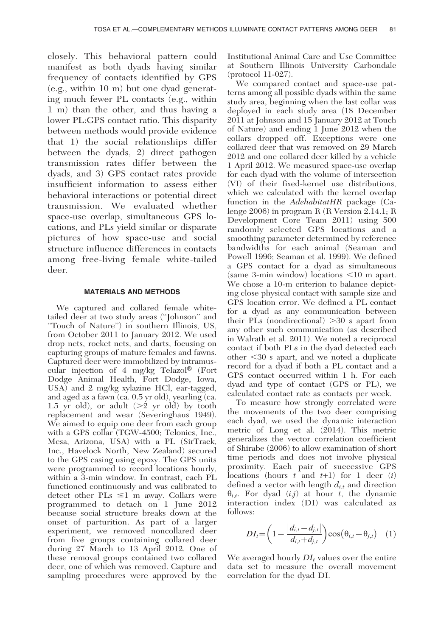closely. This behavioral pattern could manifest as both dyads having similar frequency of contacts identified by GPS (e.g., within 10 m) but one dyad generating much fewer PL contacts (e.g., within 1 m) than the other, and thus having a lower PL:GPS contact ratio. This disparity between methods would provide evidence that 1) the social relationships differ between the dyads, 2) direct pathogen transmission rates differ between the dyads, and 3) GPS contact rates provide insufficient information to assess either behavioral interactions or potential direct transmission. We evaluated whether space-use overlap, simultaneous GPS locations, and PLs yield similar or disparate pictures of how space-use and social structure influence differences in contacts among free-living female white-tailed deer.

#### MATERIALS AND METHODS

We captured and collared female whitetailed deer at two study areas (''Johnson'' and ''Touch of Nature'') in southern Illinois, US, from October 2011 to January 2012. We used drop nets, rocket nets, and darts, focusing on capturing groups of mature females and fawns. Captured deer were immobilized by intramuscular injection of 4 mg/kg Telazol<sup>®</sup> (Fort Dodge Animal Health, Fort Dodge, Iowa, USA) and 2 mg/kg xylazine HCl, ear-tagged, and aged as a fawn (ca. 0.5 yr old), yearling (ca. 1.5 yr old), or adult  $(>2$  yr old) by tooth replacement and wear (Severinghaus 1949). We aimed to equip one deer from each group with a GPS collar (TGW-4500; Telonics, Inc., Mesa, Arizona, USA) with a PL (SirTrack, Inc., Havelock North, New Zealand) secured to the GPS casing using epoxy. The GPS units were programmed to record locations hourly, within a 3-min window. In contrast, each PL functioned continuously and was calibrated to detect other  $PLs \leq 1$  m away. Collars were programmed to detach on 1 June 2012 because social structure breaks down at the onset of parturition. As part of a larger experiment, we removed noncollared deer from five groups containing collared deer during 27 March to 13 April 2012. One of these removal groups contained two collared deer, one of which was removed. Capture and sampling procedures were approved by the

Institutional Animal Care and Use Committee at Southern Illinois University Carbondale (protocol 11-027).

We compared contact and space-use patterns among all possible dyads within the same study area, beginning when the last collar was deployed in each study area (18 December 2011 at Johnson and 15 January 2012 at Touch of Nature) and ending 1 June 2012 when the collars dropped off. Exceptions were one collared deer that was removed on 29 March 2012 and one collared deer killed by a vehicle 1 April 2012. We measured space-use overlap for each dyad with the volume of intersection (VI) of their fixed-kernel use distributions, which we calculated with the kernel overlap function in the AdehabitatHR package (Calenge 2006) in program R (R Version 2.14.1; R Development Core Team 2011) using 500 randomly selected GPS locations and a smoothing parameter determined by reference bandwidths for each animal (Seaman and Powell 1996; Seaman et al. 1999). We defined a GPS contact for a dyad as simultaneous  $(same 3-min window)$  locations  $\leq 10$  m apart. We chose a 10-m criterion to balance depicting close physical contact with sample size and GPS location error. We defined a PL contact for a dyad as any communication between their PLs (nondirectional)  $>30$  s apart from any other such communication (as described in Walrath et al. 2011). We noted a reciprocal contact if both PLs in the dyad detected each other  $\leq 30$  s apart, and we noted a duplicate record for a dyad if both a PL contact and a GPS contact occurred within 1 h. For each dyad and type of contact (GPS or PL), we calculated contact rate as contacts per week.

To measure how strongly correlated were the movements of the two deer comprising each dyad, we used the dynamic interaction metric of Long et al. (2014). This metric generalizes the vector correlation coefficient of Shirabe (2006) to allow examination of short time periods and does not involve physical proximity. Each pair of successive GPS locations (hours  $t$  and  $t+1$ ) for 1 deer (*i*) defined a vector with length  $d_{it}$  and direction  $\theta_{i,t}$ . For dyad  $(i,j)$  at hour t, the dynamic interaction index (DI) was calculated as follows:

$$
DI_{t} = \left(1 - \frac{|d_{i,t} - d_{j,t}|}{d_{i,t} + d_{j,t}}\right) \cos(\theta_{i,t} - \theta_{j,t}) \quad (1)
$$

We averaged hourly  $DI_t$  values over the entire data set to measure the overall movement correlation for the dyad DI.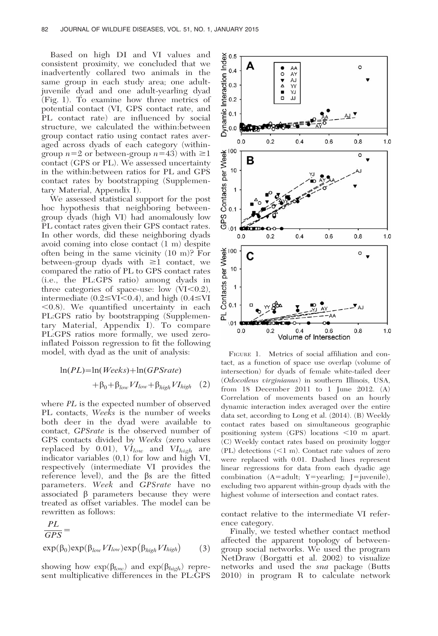Based on high DI and VI values and consistent proximity, we concluded that we inadvertently collared two animals in the same group in each study area; one adultjuvenile dyad and one adult-yearling dyad (Fig. 1). To examine how three metrics of potential contact (VI, GPS contact rate, and PL contact rate) are influenced by social structure, we calculated the within:between group contact ratio using contact rates averaged across dyads of each category (withingroup  $n=2$  or between-group  $n=43$ ) with  $\geq 1$ contact (GPS or PL). We assessed uncertainty in the within:between ratios for PL and GPS contact rates by bootstrapping (Supplementary Material, Appendix I).

We assessed statistical support for the post hoc hypothesis that neighboring betweengroup dyads (high VI) had anomalously low PL contact rates given their GPS contact rates. In other words, did these neighboring dyads avoid coming into close contact (1 m) despite often being in the same vicinity (10 m)? For between-group dyads with  $\geq 1$  contact, we compared the ratio of PL to GPS contact rates (i.e., the PL:GPS ratio) among dyads in three categories of space-use: low  $(VI<0.2)$ , intermediate  $(0.2 \leq VI \leq 0.4)$ , and high  $(0.4 \leq VI)$  $(0.8)$ . We quantified uncertainty in each PL:GPS ratio by bootstrapping (Supplementary Material, Appendix I). To compare PL:GPS ratios more formally, we used zeroinflated Poisson regression to fit the following model, with dyad as the unit of analysis:

$$
\ln(PL) = \ln(Weeks) + \ln(GPSrate)
$$
  
+  $\beta_0 + \beta_{low} VI_{low} + \beta_{high} VI_{high}$  (2)

where PL is the expected number of observed PL contacts, Weeks is the number of weeks both deer in the dyad were available to contact, GPSrate is the observed number of GPS contacts divided by Weeks (zero values replaced by 0.01),  $VI_{low}$  and  $VI_{high}$  are indicator variables (0,1) for low and high VI, respectively (intermediate VI provides the reference level), and the  $\beta s$  are the fitted parameters. Week and GPSrate have no associated  $\beta$  parameters because they were treated as offset variables. The model can be rewritten as follows:

$$
\frac{PL}{GPS} = \exp(\beta_0) \exp(\beta_{low} VI_{low}) \exp(\beta_{high} VI_{high})
$$
 (3)

showing how  $\exp(\beta_{low})$  and  $\exp(\beta_{high})$  represent multiplicative differences in the PL:GPS



FIGURE 1. Metrics of social affiliation and contact, as a function of space use overlap (volume of intersection) for dyads of female white-tailed deer (Odocoileus virginianus) in southern Illinois, USA, from 18 December 2011 to 1 June 2012. (A) Correlation of movements based on an hourly dynamic interaction index averaged over the entire data set, according to Long et al. (2014). (B) Weekly contact rates based on simultaneous geographic positioning system  $(GPS)$  locations  $\leq 10$  m apart. (C) Weekly contact rates based on proximity logger  $(PL)$  detections  $(<1$  m). Contact rate values of zero were replaced with 0.01. Dashed lines represent linear regressions for data from each dyadic age combination  $(A=adult; Y=yearling; J=juvenile)$ , excluding two apparent within-group dyads with the highest volume of intersection and contact rates.

contact relative to the intermediate VI reference category.

Finally, we tested whether contact method affected the apparent topology of betweengroup social networks. We used the program NetDraw (Borgatti et al. 2002) to visualize networks and used the sna package (Butts 2010) in program R to calculate network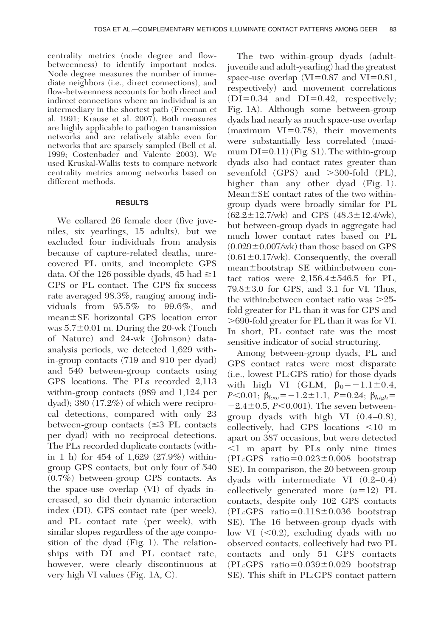centrality metrics (node degree and flowbetweenness) to identify important nodes. Node degree measures the number of immediate neighbors (i.e., direct connections), and flow-betweenness accounts for both direct and indirect connections where an individual is an intermediary in the shortest path (Freeman et al. 1991; Krause et al. 2007). Both measures are highly applicable to pathogen transmission networks and are relatively stable even for networks that are sparsely sampled (Bell et al. 1999; Costenbader and Valente 2003). We used Kruskal-Wallis tests to compare network centrality metrics among networks based on different methods.

#### **RESULTS**

We collared 26 female deer (five juveniles, six yearlings, 15 adults), but we excluded four individuals from analysis because of capture-related deaths, unrecovered PL units, and incomplete GPS data. Of the 126 possible dyads, 45 had  $\geq$ 1 GPS or PL contact. The GPS fix success rate averaged 98.3%, ranging among individuals from 95.5% to 99.6%, and  $mean \pm SE$  horizontal GPS location error was  $5.7\pm0.01$  m. During the 20-wk (Touch of Nature) and 24-wk (Johnson) dataanalysis periods, we detected 1,629 within-group contacts (719 and 910 per dyad) and 540 between-group contacts using GPS locations. The PLs recorded 2,113 within-group contacts (989 and 1,124 per dyad); 380 (17.2%) of which were reciprocal detections, compared with only 23 between-group contacts  $(\leq 3$  PL contacts per dyad) with no reciprocal detections. The PLs recorded duplicate contacts (within 1 h) for 454 of 1,629 (27.9%) withingroup GPS contacts, but only four of 540 (0.7%) between-group GPS contacts. As the space-use overlap (VI) of dyads increased, so did their dynamic interaction index (DI), GPS contact rate (per week), and PL contact rate (per week), with similar slopes regardless of the age composition of the dyad (Fig. 1). The relationships with DI and PL contact rate, however, were clearly discontinuous at very high VI values (Fig. 1A, C).

The two within-group dyads (adultjuvenile and adult-yearling) had the greatest space-use overlap  $(VI=0.87$  and  $VI=0.81$ , respectively) and movement correlations  $(DI=0.34$  and  $DI=0.42$ , respectively; Fig. 1A). Although some between-group dyads had nearly as much space-use overlap (maximum  $VI=0.78$ ), their movements were substantially less correlated (maximum  $DI=0.11$ ) (Fig. S1). The within-group dyads also had contact rates greater than sevenfold  $(GPS)$  and  $>300$ -fold  $(PL)$ , higher than any other dyad (Fig. 1).  $Mean \pm SE$  contact rates of the two withingroup dyads were broadly similar for PL  $(62.2 \pm 12.7/\text{wk})$  and GPS  $(48.3 \pm 12.4/\text{wk})$ , but between-group dyads in aggregate had much lower contact rates based on PL  $(0.029\pm0.007/\text{wk})$  than those based on GPS  $(0.61 \pm 0.17/\text{wk})$ . Consequently, the overall mean $\pm$ bootstrap SE within:between contact ratios were  $2,156.4 \pm 546.5$  for PL,  $79.8\pm3.0$  for GPS, and 3.1 for VI. Thus, the within: between contact ratio was  $>25$ fold greater for PL than it was for GPS and .690-fold greater for PL than it was for VI. In short, PL contact rate was the most sensitive indicator of social structuring.

Among between-group dyads, PL and GPS contact rates were most disparate (i.e., lowest PL:GPS ratio) for those dyads with high VI (GLM,  $\beta_0 = -1.1 \pm 0.4$ ,  $P<0.01$ ;  $\beta_{low}=-1.2\pm1.1$ ,  $P=0.24$ ;  $\beta_{high}=$  $-2.4\pm0.5$ , P $< 0.001$ ). The seven betweengroup dyads with high VI (0.4–0.8), collectively, had GPS locations  $\leq 10$  m apart on 387 occasions, but were detected  $\leq 1$  m apart by PLs only nine times  $(PL:GPS \text{ ratio}=0.023\pm0.008 \text{ bootstrap})$ SE). In comparison, the 20 between-group dyads with intermediate VI (0.2–0.4) collectively generated more  $(n=12)$  PL contacts, despite only 102 GPS contacts  $(PL:GPS ratio=0.118±0.036 bootstrap)$ SE). The 16 between-group dyads with low VI  $( $0.2$ ), excluding dyads with no$ observed contacts, collectively had two PL contacts and only 51 GPS contacts  $(PL:GPS ratio=0.039\pm0.029$  bootstrap SE). This shift in PL:GPS contact pattern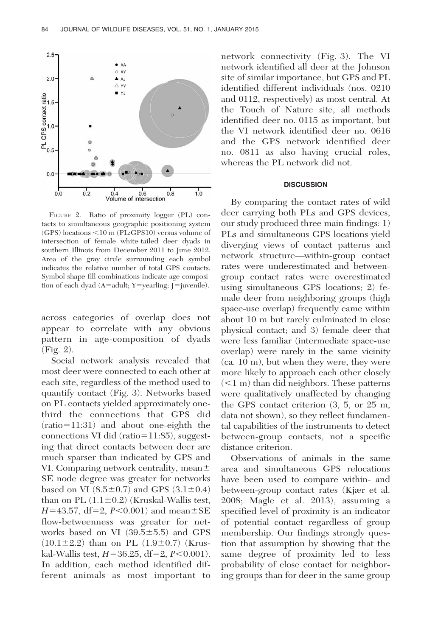

FIGURE 2. Ratio of proximity logger (PL) contacts to simultaneous geographic positioning system  $(GPS)$  locations  $\leq 10$  m (PL:GPS10) versus volume of intersection of female white-tailed deer dyads in southern Illinois from December 2011 to June 2012. Area of the gray circle surrounding each symbol indicates the relative number of total GPS contacts. Symbol shape-fill combinations indicate age composition of each dyad  $(A=adult; Y=yearling; J=juvenile)$ .

across categories of overlap does not appear to correlate with any obvious pattern in age-composition of dyads (Fig. 2).

Social network analysis revealed that most deer were connected to each other at each site, regardless of the method used to quantify contact (Fig. 3). Networks based on PL contacts yielded approximately onethird the connections that GPS did  $(ratio=11:31)$  and about one-eighth the connections VI did (ratio= $11:85$ ), suggesting that direct contacts between deer are much sparser than indicated by GPS and VI. Comparing network centrality, mean $\pm$ SE node degree was greater for networks based on VI  $(8.5\pm0.7)$  and GPS  $(3.1\pm0.4)$ than on PL  $(1.1\pm0.2)$  (Kruskal-Wallis test,  $H=43.57$ , df=2,  $P<0.001$ ) and mean $\pm$ SE flow-betweenness was greater for networks based on VI  $(39.5 \pm 5.5)$  and GPS  $(10.1\pm2.2)$  than on PL  $(1.9\pm0.7)$  (Kruskal-Wallis test,  $H=36.25$ , df=2,  $P<0.001$ ). In addition, each method identified different animals as most important to

network connectivity (Fig. 3). The VI network identified all deer at the Johnson site of similar importance, but GPS and PL identified different individuals (nos. 0210 and 0112, respectively) as most central. At the Touch of Nature site, all methods identified deer no. 0115 as important, but the VI network identified deer no. 0616 and the GPS network identified deer no. 0811 as also having crucial roles, whereas the PL network did not.

#### **DISCUSSION**

By comparing the contact rates of wild deer carrying both PLs and GPS devices, our study produced three main findings: 1) PLs and simultaneous GPS locations yield diverging views of contact patterns and network structure—within-group contact rates were underestimated and betweengroup contact rates were overestimated using simultaneous GPS locations; 2) female deer from neighboring groups (high space-use overlap) frequently came within about 10 m but rarely culminated in close physical contact; and 3) female deer that were less familiar (intermediate space-use overlap) were rarely in the same vicinity (ca. 10 m), but when they were, they were more likely to approach each other closely  $(<1 m)$  than did neighbors. These patterns were qualitatively unaffected by changing the GPS contact criterion (3, 5, or 25 m, data not shown), so they reflect fundamental capabilities of the instruments to detect between-group contacts, not a specific distance criterion.

Observations of animals in the same area and simultaneous GPS relocations have been used to compare within- and between-group contact rates (Kjær et al. 2008; Magle et al. 2013), assuming a specified level of proximity is an indicator of potential contact regardless of group membership. Our findings strongly question that assumption by showing that the same degree of proximity led to less probability of close contact for neighboring groups than for deer in the same group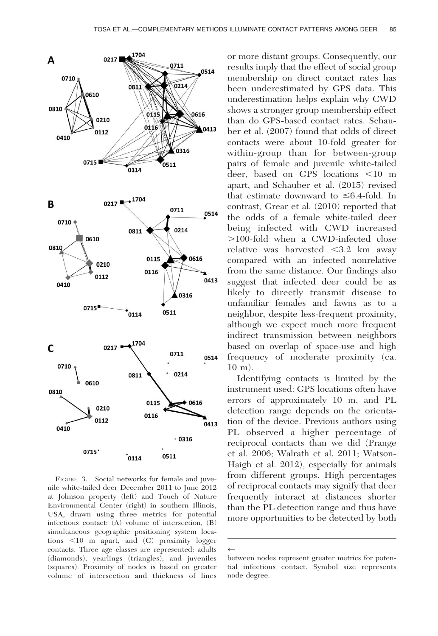

FIGURE 3. Social networks for female and juvenile white-tailed deer December 2011 to June 2012 at Johnson property (left) and Touch of Nature Environmental Center (right) in southern Illinois, USA, drawn using three metrics for potential infectious contact: (A) volume of intersection, (B) simultaneous geographic positioning system locations  $\leq 10$  m apart, and  $(C)$  proximity logger contacts. Three age classes are represented: adults (diamonds), yearlings (triangles), and juveniles (squares). Proximity of nodes is based on greater volume of intersection and thickness of lines

or more distant groups. Consequently, our results imply that the effect of social group membership on direct contact rates has been underestimated by GPS data. This underestimation helps explain why CWD shows a stronger group membership effect than do GPS-based contact rates. Schauber et al. (2007) found that odds of direct contacts were about 10-fold greater for within-group than for between-group pairs of female and juvenile white-tailed deer, based on GPS locations  $\leq 10$  m apart, and Schauber et al. (2015) revised that estimate downward to  $\leq 6.4$ -fold. In contrast, Grear et al. (2010) reported that the odds of a female white-tailed deer being infected with CWD increased .100-fold when a CWD-infected close relative was harvested  $<$ 3.2 km away compared with an infected nonrelative from the same distance. Our findings also suggest that infected deer could be as likely to directly transmit disease to unfamiliar females and fawns as to a neighbor, despite less-frequent proximity, although we expect much more frequent indirect transmission between neighbors based on overlap of space-use and high frequency of moderate proximity (ca. 10 m).

Identifying contacts is limited by the instrument used: GPS locations often have errors of approximately 10 m, and PL detection range depends on the orientation of the device. Previous authors using PL observed a higher percentage of reciprocal contacts than we did (Prange et al. 2006; Walrath et al. 2011; Watson-Haigh et al. 2012), especially for animals from different groups. High percentages of reciprocal contacts may signify that deer frequently interact at distances shorter than the PL detection range and thus have more opportunities to be detected by both

 $\leftarrow$ 

between nodes represent greater metrics for potential infectious contact. Symbol size represents node degree.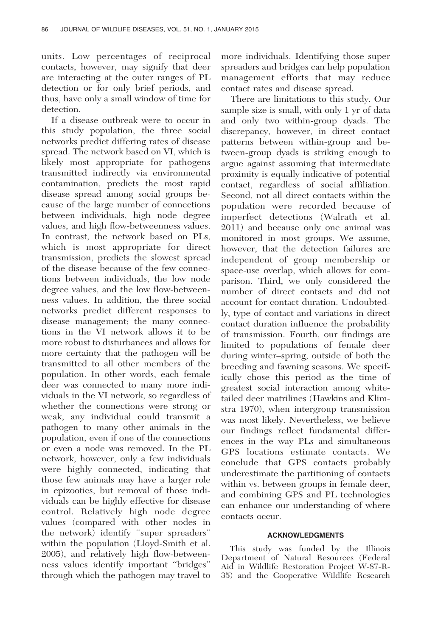units. Low percentages of reciprocal contacts, however, may signify that deer are interacting at the outer ranges of PL detection or for only brief periods, and thus, have only a small window of time for detection.

If a disease outbreak were to occur in this study population, the three social networks predict differing rates of disease spread. The network based on VI, which is likely most appropriate for pathogens transmitted indirectly via environmental contamination, predicts the most rapid disease spread among social groups because of the large number of connections between individuals, high node degree values, and high flow-betweenness values. In contrast, the network based on PLs, which is most appropriate for direct transmission, predicts the slowest spread of the disease because of the few connections between individuals, the low node degree values, and the low flow-betweenness values. In addition, the three social networks predict different responses to disease management; the many connections in the VI network allows it to be more robust to disturbances and allows for more certainty that the pathogen will be transmitted to all other members of the population. In other words, each female deer was connected to many more individuals in the VI network, so regardless of whether the connections were strong or weak, any individual could transmit a pathogen to many other animals in the population, even if one of the connections or even a node was removed. In the PL network, however, only a few individuals were highly connected, indicating that those few animals may have a larger role in epizootics, but removal of those individuals can be highly effective for disease control. Relatively high node degree values (compared with other nodes in the network) identify ''super spreaders'' within the population (Lloyd-Smith et al. 2005), and relatively high flow-betweenness values identify important ''bridges'' through which the pathogen may travel to

more individuals. Identifying those super spreaders and bridges can help population management efforts that may reduce contact rates and disease spread.

There are limitations to this study. Our sample size is small, with only 1 yr of data and only two within-group dyads. The discrepancy, however, in direct contact patterns between within-group and between-group dyads is striking enough to argue against assuming that intermediate proximity is equally indicative of potential contact, regardless of social affiliation. Second, not all direct contacts within the population were recorded because of imperfect detections (Walrath et al. 2011) and because only one animal was monitored in most groups. We assume, however, that the detection failures are independent of group membership or space-use overlap, which allows for comparison. Third, we only considered the number of direct contacts and did not account for contact duration. Undoubtedly, type of contact and variations in direct contact duration influence the probability of transmission. Fourth, our findings are limited to populations of female deer during winter–spring, outside of both the breeding and fawning seasons. We specifically chose this period as the time of greatest social interaction among whitetailed deer matrilines (Hawkins and Klimstra 1970), when intergroup transmission was most likely. Nevertheless, we believe our findings reflect fundamental differences in the way PLs and simultaneous GPS locations estimate contacts. We conclude that GPS contacts probably underestimate the partitioning of contacts within vs. between groups in female deer, and combining GPS and PL technologies can enhance our understanding of where contacts occur.

#### ACKNOWLEDGMENTS

This study was funded by the Illinois Department of Natural Resources (Federal Aid in Wildlife Restoration Project W-87-R-35) and the Cooperative Wildlife Research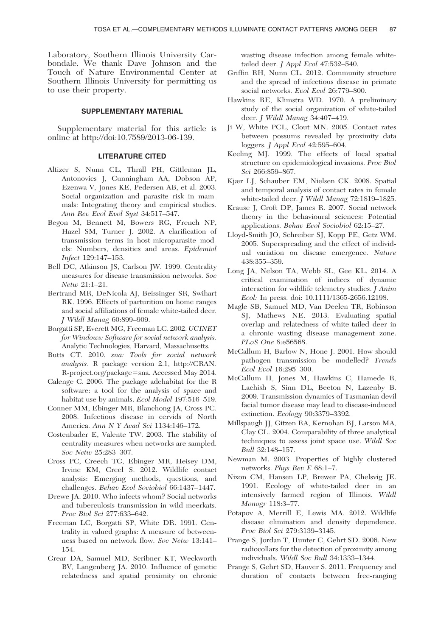Laboratory, Southern Illinois University Carbondale. We thank Dave Johnson and the Touch of Nature Environmental Center at Southern Illinois University for permitting us to use their property.

#### SUPPLEMENTARY MATERIAL

Supplementary material for this article is online at http://doi:10.7589/2013-06-139.

#### LITERATURE CITED

- Altizer S, Nunn CL, Thrall PH, Gittleman JL, Antonovics J, Cunningham AA, Dobson AP, Ezenwa V, Jones KE, Pedersen AB, et al. 2003. Social organization and parasite risk in mammals: Integrating theory and empirical studies. Ann Rev Ecol Evol Syst 34:517–547.
- Begon M, Bennett M, Bowers RG, French NP, Hazel SM, Turner J. 2002. A clarification of transmission terms in host-microparasite models: Numbers, densities and areas. Epidemiol Infect 129:147–153.
- Bell DC, Atkinson JS, Carlson JW. 1999. Centrality measures for disease transmission networks. Soc Netw 21:1–21.
- Bertrand MR, DeNicola AJ, Beissinger SR, Swihart RK. 1996. Effects of parturition on home ranges and social affiliations of female white-tailed deer. J Wildl Manag 60:899–909.
- Borgatti SP, Everett MG, Freeman LC. 2002. UCINET for Windows: Software for social network analysis. Analytic Technologies, Harvard, Massachusetts.
- Butts CT. 2010. sna: Tools for social network analysis. R package version 2.1, http://CRAN. R-project.org/package=sna. Accessed May 2014.
- Calenge C. 2006. The package adehabitat for the R software: a tool for the analysis of space and habitat use by animals. Ecol Model 197:516–519.
- Conner MM, Ebinger MR, Blanchong JA, Cross PC. 2008. Infectious disease in cervids of North America. Ann N Y Acad Sci 1134:146–172.
- Costenbader E, Valente TW. 2003. The stability of centrality measures when networks are sampled. Soc Netw 25:283–307.
- Cross PC, Creech TG, Ebinger MR, Heisey DM, Irvine KM, Creel S. 2012. Wildlife contact analysis: Emerging methods, questions, and challenges. Behav Ecol Sociobiol 66:1437–1447.
- Drewe JA. 2010. Who infects whom? Social networks and tuberculosis transmission in wild meerkats. Proc Biol Sci 277:633–642.
- Freeman LC, Borgatti SP, White DR. 1991. Centrality in valued graphs: A measure of betweenness based on network flow. Soc Netw 13:141– 154.
- Grear DA, Samuel MD, Scribner KT, Weckworth BV, Langenberg JA. 2010. Influence of genetic relatedness and spatial proximity on chronic

wasting disease infection among female whitetailed deer. *J Appl Ecol* 47:532-540.

- Griffin RH, Nunn CL. 2012. Community structure and the spread of infectious disease in primate social networks. Evol Ecol 26:779–800.
- Hawkins RE, Klimstra WD. 1970. A preliminary study of the social organization of white-tailed deer. J Wildl Manag 34:407–419.
- Ji W, White PCL, Clout MN. 2005. Contact rates between possums revealed by proximity data loggers. J Appl Ecol 42:595–604.
- Keeling MJ. 1999. The effects of local spatial structure on epidemiological invasions. Proc Biol Sci 266:859–867.
- Kjær LJ, Schauber EM, Nielsen CK. 2008. Spatial and temporal analysis of contact rates in female white-tailed deer. J Wildl Manag 72:1819–1825.
- Krause J, Croft DP, James R. 2007. Social network theory in the behavioural sciences: Potential applications. Behav Ecol Sociobiol 62:15–27.
- Lloyd-Smith JO, Schreiber SJ, Kopp PE, Getz WM. 2005. Superspreading and the effect of individual variation on disease emergence. Nature 438:355–359.
- Long JA, Nelson TA, Webb SL, Gee KL. 2014. A critical examination of indices of dynamic interaction for wildlife telemetry studies. J Anim Ecol: In press. doi: 10.1111/1365-2656.12198.
- Magle SB, Samuel MD, Van Deelen TR, Robinson SJ, Mathews NE. 2013. Evaluating spatial overlap and relatedness of white-tailed deer in a chronic wasting disease management zone. PLoS One 8:e56568.
- McCallum H, Barlow N, Hone J. 2001. How should pathogen transmission be modelled? Trends Ecol Evol 16:295–300.
- McCallum H, Jones M, Hawkins C, Hamede R, Lachish S, Sinn DL, Beeton N, Lazenby B. 2009. Transmission dynamics of Tasmanian devil facial tumor disease may lead to disease-induced extinction. Ecology 90:3379–3392.
- Millspaugh JJ, Gitzen RA, Kernohan BJ, Larson MA, Clay CL. 2004. Comparability of three analytical techniques to assess joint space use. Wildl Soc Bull 32:148–157.
- Newman M. 2003. Properties of highly clustered networks. Phys Rev E 68:1–7.
- Nixon CM, Hansen LP, Brewer PA, Chelsvig JE. 1991. Ecology of white-tailed deer in an intensively farmed region of Illinois. Wildl Monogr 118:3–77.
- Potapov A, Merrill E, Lewis MA. 2012. Wildlife disease elimination and density dependence. Proc Biol Sci 279:3139–3145.
- Prange S, Jordan T, Hunter C, Gehrt SD. 2006. New radiocollars for the detection of proximity among individuals. Wildl Soc Bull 34:1333–1344.
- Prange S, Gehrt SD, Hauver S. 2011. Frequency and duration of contacts between free-ranging